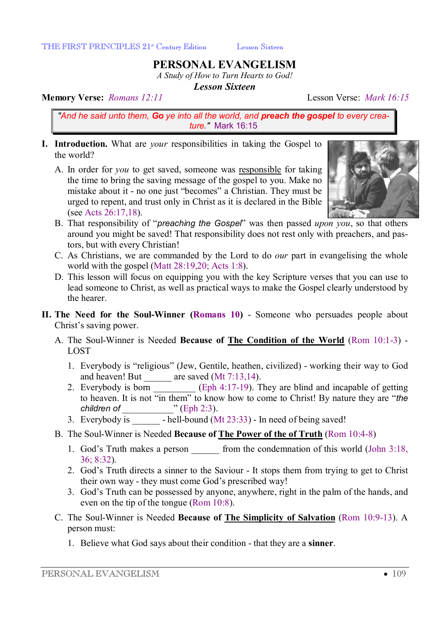# **PERSONAL EVANGELISM**

*A Study of How to Turn Hearts to God!* 

*Lesson Sixteen* 

#### **Memory Verse:** *Romans 12:11* Lesson Verse: *Mark 16:15*

*"And he said unto them, Go ye into all the world, and preach the gospel to every creature."* Mark 16:15

- **I. Introduction.** What are *your* responsibilities in taking the Gospel to the world?
	- A. In order for *you* to get saved, someone was responsible for taking the time to bring the saving message of the gospel to you. Make no mistake about it - no one just "becomes" a Christian. They must be urged to repent, and trust only in Christ as it is declared in the Bible (see Acts 26:17,18).



- B. That responsibility of "*preaching the Gospel*" was then passed *upon you*, so that others around you might be saved! That responsibility does not rest only with preachers, and pastors, but with every Christian!
- C. As Christians, we are commanded by the Lord to do *our* part in evangelising the whole world with the gospel (Matt 28:19,20; Acts 1:8).
- D. This lesson will focus on equipping you with the key Scripture verses that you can use to lead someone to Christ, as well as practical ways to make the Gospel clearly understood by the hearer.
- **II. The Need for the Soul-Winner (Romans 10)** Someone who persuades people about Christ's saving power.
	- A. The Soul-Winner is Needed **Because of The Condition of the World** (Rom 10:1-3) LOST
		- 1. Everybody is "religious" (Jew, Gentile, heathen, civilized) working their way to God and heaven! But  $\qquad$  are saved (Mt 7:13,14).
		- 2. Everybody is born  $\boxed{\phantom{2\,2.65\,}}$  (Eph 4:17-19). They are blind and incapable of getting to heaven. It is not "in them" to know how to come to Christ! By nature they are "*the children of* \_\_\_\_\_\_\_\_\_\_\_" (Eph 2:3).
		- 3. Everybody is \_\_\_\_\_\_ hell-bound (Mt 23:33) In need of being saved!
	- B. The Soul-Winner is Needed **Because of The Power of the of Truth** (Rom 10:4-8)
		- 1. God's Truth makes a person from the condemnation of this world (John 3:18, 36; 8:32).
		- 2. God's Truth directs a sinner to the Saviour It stops them from trying to get to Christ their own way - they must come God's prescribed way!
		- 3. God's Truth can be possessed by anyone, anywhere, right in the palm of the hands, and even on the tip of the tongue (Rom 10:8).
	- C. The Soul-Winner is Needed **Because of The Simplicity of Salvation** (Rom 10:9-13). A person must:
		- 1. Believe what God says about their condition that they are a **sinner**.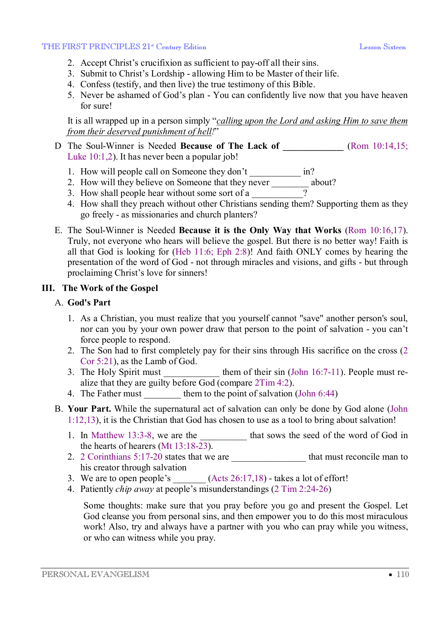#### THE FIRST PRINCIPLES 21<sup>st</sup> Century Edition **Legal Contract Contract Contract Contract Contract Contract Contract Contract Contract Contract Contract Contract Contract Contract Contract Contract Contract Contract Contract**

- 2. Accept Christ's crucifixion as sufficient to pay-off all their sins.
- 3. Submit to Christ's Lordship allowing Him to be Master of their life.
- 4. Confess (testify, and then live) the true testimony of this Bible.
- 5. Never be ashamed of God's plan You can confidently live now that you have heaven for sure!

It is all wrapped up in a person simply "*calling upon the Lord and asking Him to save them from their deserved punishment of hell!*"

- D The Soul-Winner is Needed **Because of The Lack of \_\_\_\_\_\_\_\_\_\_\_\_\_** (Rom 10:14,15; Luke 10:1,2). It has never been a popular job!
	- 1. How will people call on Someone they don't in?
	- 2. How will they believe on Someone that they never about?
	- 3. How shall people hear without some sort of a  $\overline{\phantom{a}}$
	- 4. How shall they preach without other Christians sending them? Supporting them as they go freely - as missionaries and church planters?
- E. The Soul-Winner is Needed **Because it is the Only Way that Works** (Rom 10:16,17). Truly, not everyone who hears will believe the gospel. But there is no better way! Faith is all that God is looking for (Heb 11:6; Eph 2:8)! And faith ONLY comes by hearing the presentation of the word of God - not through miracles and visions, and gifts - but through proclaiming Christ's love for sinners!

# **III. The Work of the Gospel**

# A. **God's Part**

- 1. As a Christian, you must realize that you yourself cannot "save" another person's soul, nor can you by your own power draw that person to the point of salvation - you can't force people to respond.
- 2. The Son had to first completely pay for their sins through His sacrifice on the cross (2 Cor 5:21), as the Lamb of God.
- 3. The Holy Spirit must them of their sin  $(John 16:7-11)$ . People must realize that they are guilty before God (compare 2Tim 4:2).
- 4. The Father must them to the point of salvation (John 6:44)
- B. **Your Part.** While the supernatural act of salvation can only be done by God alone (John 1:12,13), it is the Christian that God has chosen to use as a tool to bring about salvation!
	- 1. In Matthew 13:3-8, we are the that sows the seed of the word of God in the hearts of hearers (Mt 13:18-23).
	- 2. 2 Corinthians  $5:17-20$  states that we are  $\frac{1}{2}$  that must reconcile man to his creator through salvation
	- 3. We are to open people's  $(Acts 26:17,18)$  takes a lot of effort!
	- 4. Patiently *chip away* at people's misunderstandings (2 Tim 2:24-26)

Some thoughts: make sure that you pray before you go and present the Gospel. Let God cleanse you from personal sins, and then empower you to do this most miraculous work! Also, try and always have a partner with you who can pray while you witness, or who can witness while you pray.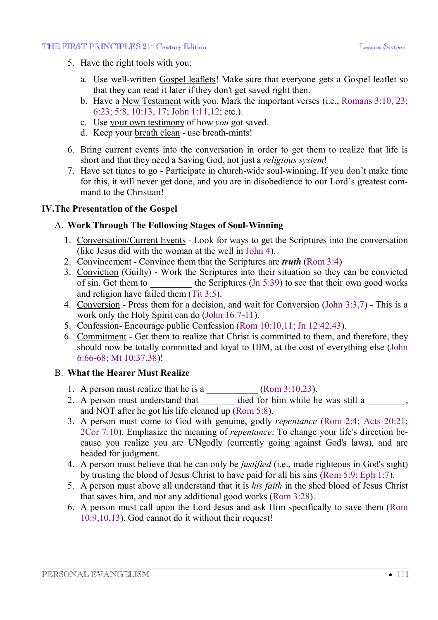#### THE FIRST PRINCIPLES 21<sup>st</sup> Century Edition **Legal Contract Contract Contract Contract Contract Contract Contract Contract Contract Contract Contract Contract Contract Contract Contract Contract Contract Contract Contract**

- 5. Have the right tools with you:
	- a. Use well-written Gospel leaflets! Make sure that everyone gets a Gospel leaflet so that they can read it later if they don't get saved right then.
	- b. Have a New Testament with you. Mark the important verses (i.e., Romans 3:10, 23; 6:23; 5:8, 10:13, 17; John 1:11,12; etc.).
	- c. Use your own testimony of how *you* got saved.
	- d. Keep your breath clean use breath-mints!
- 6. Bring current events into the conversation in order to get them to realize that life is short and that they need a Saving God, not just a *religious system*!
- 7. Have set times to go Participate in church-wide soul-winning. If you don't make time for this, it will never get done, and you are in disobedience to our Lord's greatest command to the Christian!

# **IV.The Presentation of the Gospel**

# A. **Work Through The Following Stages of Soul-Winning**

- 1. Conversation/Current Events Look for ways to get the Scriptures into the conversation (like Jesus did with the woman at the well in John 4).
- 2. Convincement Convince them that the Scriptures are *truth* (Rom 3:4)
- 3. Conviction (Guilty) Work the Scriptures into their situation so they can be convicted of sin. Get them to  $\qquad$  the Scriptures (Jn 5:39) to see that their own good works and religion have failed them  $(Tit 3:5)$ .
- 4. Conversion Press them for a decision, and wait for Conversion (John 3:3,7) This is a work only the Holy Spirit can do (John 16:7-11).
- 5. Confession- Encourage public Confession (Rom 10:10,11; Jn 12:42,43).
- 6. Commitment Get them to realize that Christ is committed to them, and therefore, they should now be totally committed and loyal to HIM, at the cost of everything else (John 6:66-68; Mt 10:37,38)!

# B. **What the Hearer Must Realize**

- 1. A person must realize that he is a  $\qquad \qquad$  (Rom 3:10,23).
- 2. A person must understand that \_\_\_\_\_\_\_ died for him while he was still a \_\_\_\_\_\_, and NOT after he got his life cleaned up (Rom 5:8).
- 3. A person must come to God with genuine, godly *repentance* (Rom 2:4; Acts 20:21; 2Cor 7:10). Emphasize the meaning of *repentance*: To change your life's direction because you realize you are UNgodly (currently going against God's laws), and are headed for judgment.
- 4. A person must believe that he can only be *justified* (i.e., made righteous in God's sight) by trusting the blood of Jesus Christ to have paid for all his sins (Rom 5:9; Eph 1:7).
- 5. A person must above all understand that it is *his faith* in the shed blood of Jesus Christ that saves him, and not any additional good works (Rom 3:28).
- 6. A person must call upon the Lord Jesus and ask Him specifically to save them (Rom 10:9,10,13). God cannot do it without their request!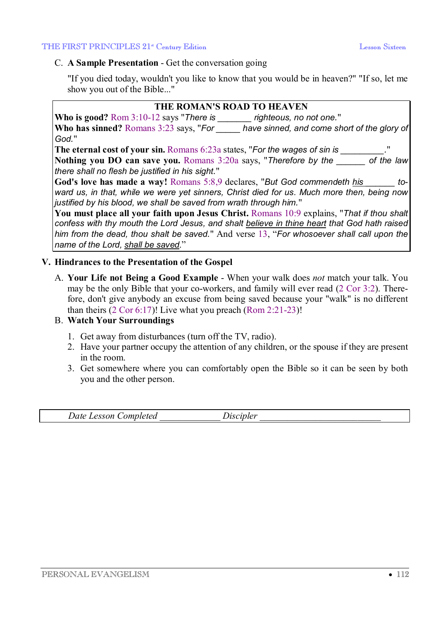### C. **A Sample Presentation** - Get the conversation going

"If you died today, wouldn't you like to know that you would be in heaven?" "If so, let me show you out of the Bible..."

### **THE ROMAN'S ROAD TO HEAVEN**

**Who is good?** Rom 3:10-12 says "*There is \_\_\_\_\_\_\_ righteous, no not one.*" **Who has sinned?** Romans 3:23 says, "*For \_\_\_\_\_ have sinned, and come short of the glory of God.*"

**The eternal cost of your sin.** Romans 6:23a states, "*For the wages of sin is \_\_\_\_\_\_\_\_\_.*" **Nothing you DO can save you.** Romans 3:20a says, "*Therefore by the \_\_\_\_\_\_ of the law there shall no flesh be justified in his sight.*"

**God's love has made a way!** Romans 5:8,9 declares, "*But God commendeth his \_\_\_\_\_\_ toward us, in that, while we were yet sinners, Christ died for us. Much more then, being now justified by his blood, we shall be saved from wrath through him.*"

**You must place all your faith upon Jesus Christ.** Romans 10:9 explains, "*That if thou shalt confess with thy mouth the Lord Jesus, and shalt believe in thine heart that God hath raised him from the dead, thou shalt be saved.*" And verse 13, "*For whosoever shall call upon the name of the Lord, shall be saved*."

### **V. Hindrances to the Presentation of the Gospel**

A. **Your Life not Being a Good Example** - When your walk does *not* match your talk. You may be the only Bible that your co-workers, and family will ever read (2 Cor 3:2). Therefore, don't give anybody an excuse from being saved because your "walk" is no different than theirs  $(2 \text{ Cor } 6:17)$ ! Live what you preach  $(\text{Rom } 2:21-23)$ !

# B. **Watch Your Surroundings**

- 1. Get away from disturbances (turn off the TV, radio).
- 2. Have your partner occupy the attention of any children, or the spouse if they are present in the room.
- 3. Get somewhere where you can comfortably open the Bible so it can be seen by both you and the other person.

| $\Delta$ <i>dte</i><br>Lesson ( | <i>_ompleted</i> | Jiscipler |  |
|---------------------------------|------------------|-----------|--|
|                                 |                  |           |  |
|                                 |                  |           |  |